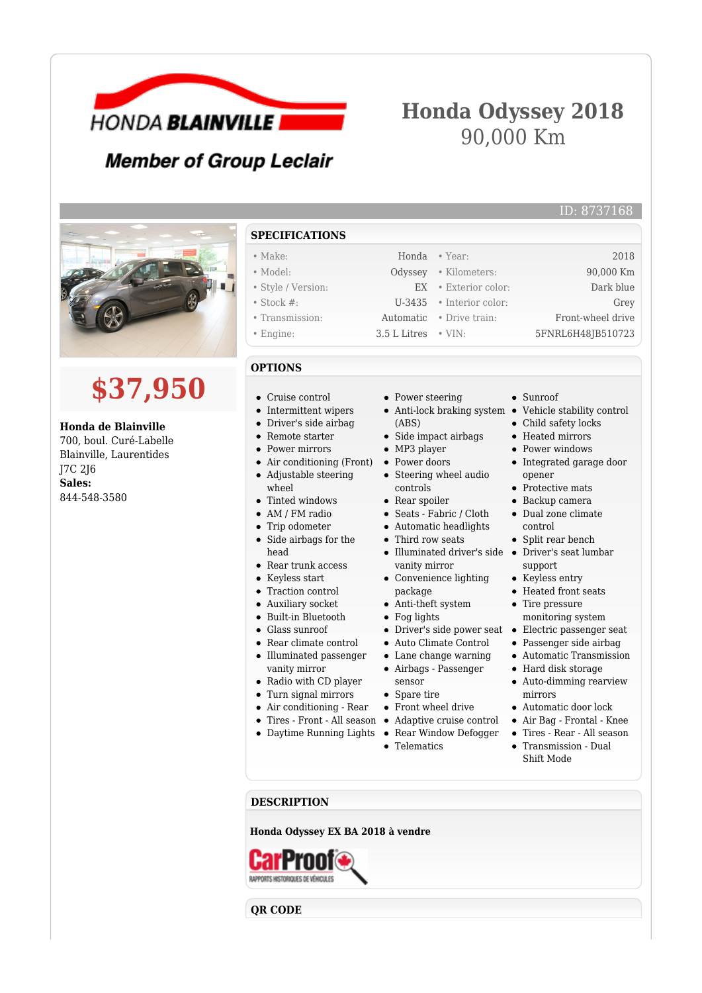

# **Honda Odyssey 2018** 90,000 Km

## **Member of Group Leclair**



# **\$37,950**

#### **Honda de Blainville**

700, boul. Curé-Labelle Blainville, Laurentides J7C 2J6 **Sales:** 844-548-3580

### **SPECIFICATIONS**

| $\bullet$ Make:    |                             | Honda • Year:                    | 2018              |
|--------------------|-----------------------------|----------------------------------|-------------------|
| $\bullet$ Model:   |                             | Odyssey . Kilometers:            | 90,000 Km         |
| • Style / Version: |                             | $EX \rightarrow$ Exterior color: | Dark blue         |
| $\bullet$ Stock #: |                             | $U-3435$ • Interior color:       | Grey              |
| • Transmission:    |                             | Automatic • Drive train:         | Front-wheel drive |
| • Engine:          | $3.5$ L Litres $\cdot$ VIN: |                                  | 5FNRL6H48JB510723 |
|                    |                             |                                  |                   |

#### **OPTIONS**

- Cruise control
- Intermittent wipers
- Driver's side airbag
- Remote starter
- 
- Air conditioning (Front) Adjustable steering
- 
- $\bullet$ Trip odometer
- $\bullet$ Side airbags for the head
- Rear trunk access
- Keyless start
- Traction control
- Auxiliary socket
- Built-in Bluetooth  $\bullet$
- Glass sunroof
- Rear climate control Illuminated passenger  $\bullet$
- vanity mirror
- Radio with CD player
- Turn signal mirrors
- Air conditioning Rear
	- Tires Front All season
- Daytime Running Lights Rear Window Defogger
- Power steering
- 
- (ABS)
- Side impact airbags • MP3 player
- Power doors
- Steering wheel audio
- controls
- Rear spoiler
- Seats Fabric / Cloth
- Automatic headlights
- Third row seats
- vanity mirror
- Convenience lighting package
- Anti-theft system
- Fog lights
- Driver's side power seat •
- Auto Climate Control
- Lane change warning
- Airbags Passenger
- sensor • Spare tire
- Front wheel drive
- Adaptive cruise control
- 
- Telematics

Sunroof

Anti-lock braking system • Vehicle stability control

ID: 8737168

- Child safety locks
- Heated mirrors
- Power windows Integrated garage door
- opener
- Protective mats Backup camera
- Dual zone climate
- control • Split rear bench
- Illuminated driver's side Driver's seat lumbar support
	- Keyless entry
	- Heated front seats
	- Tire pressure monitoring system
	- Electric passenger seat
	- Passenger side airbag
	- Automatic Transmission
	- Hard disk storage
	- Auto-dimming rearview mirrors
	- Automatic door lock
	- Air Bag Frontal Knee
	- Tires Rear All season
	- Transmission Dual Shift Mode

**DESCRIPTION**

**Honda Odyssey EX BA 2018 à vendre**

RAPPORTS HISTORICURS DE VÉHICULES

**QR CODE**

• Power mirrors  $\bullet$ wheel Tinted windows  $\bullet$ • AM / FM radio